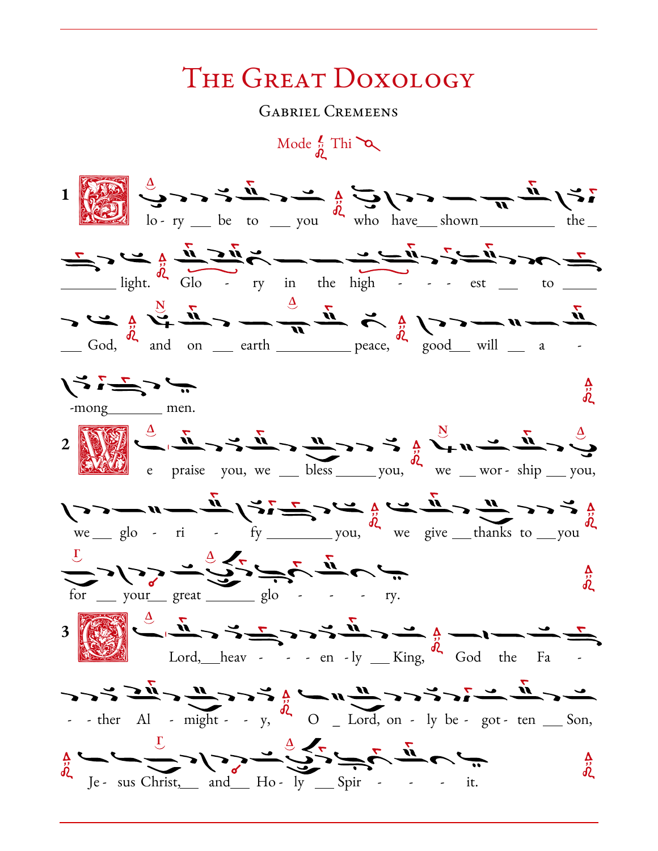## THE GREAT DOXOLOGY

**GABRIEL CREMEENS** 



へ<br>ぺ

 $\frac{\Delta}{\delta \zeta}$ 

 $\mathbf 1$ 

 $\sqrt{2}$  a m m i  $\sqrt{3}$  i  $\frac{1}{4}$  i  $\frac{3}{4}$  i  $\frac{1}{4}$  a i  $\frac{1}{4}$  a  $\frac{1}{4}$  a  $\frac{1}{4}$  a  $\frac{1}{4}$  a  $\frac{1}{4}$  a  $\frac{1}{4}$  a  $\frac{1}{4}$  a  $\frac{1}{4}$  a  $\frac{1}{4}$  a  $\frac{1}{4}$  a  $\frac{1}{4}$  a  $\frac{1}{4}$  a  $\frac{1}{4}$  a  $\frac{1}{2}$  ) ) )  $\frac{1}{2}$  ,  $\frac{1}{2}$  ,  $\frac{1}{2}$  ,  $\frac{1}{2}$  ,  $\frac{1}{2}$  ,  $\frac{1}{2}$  $\frac{\text{your}}{\text{year}}$  great  $\frac{\text{equ}}{\text{grav}}$  glo - - - ry.  $\frac{1}{2}$   $\frac{1}{2}$   $\frac{1}{2}$   $\frac{1}{2}$   $\frac{1}{2}$   $\frac{1}{2}$   $\frac{1}{2}$   $\frac{1}{2}$   $\frac{1}{2}$   $\frac{1}{2}$   $\frac{1}{2}$   $\frac{1}{2}$   $\frac{1}{2}$   $\frac{1}{2}$   $\frac{1}{2}$   $\frac{1}{2}$   $\frac{1}{2}$   $\frac{1}{2}$   $\frac{1}{2}$   $\frac{1}{2}$   $\frac{1}{2}$   $\frac{1}{2}$  

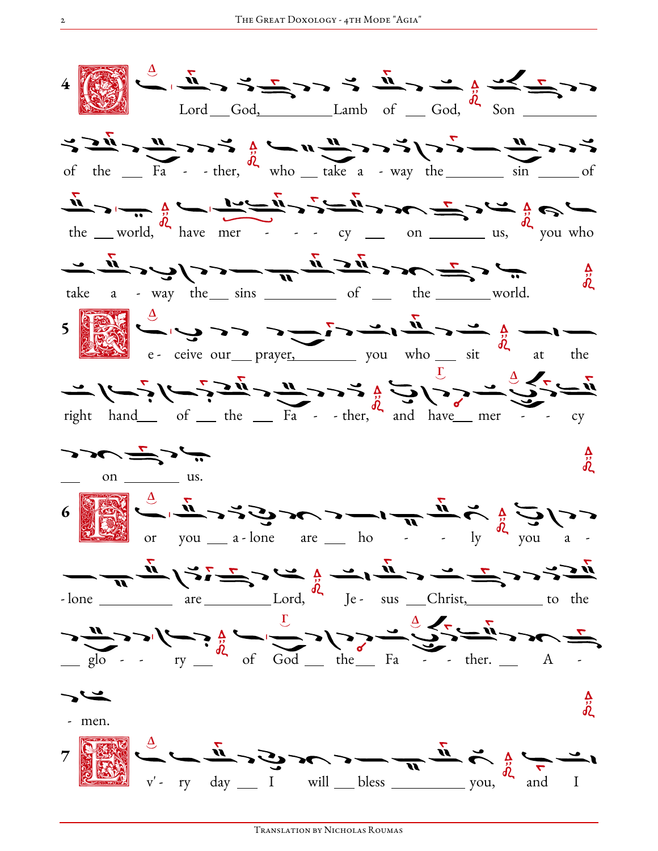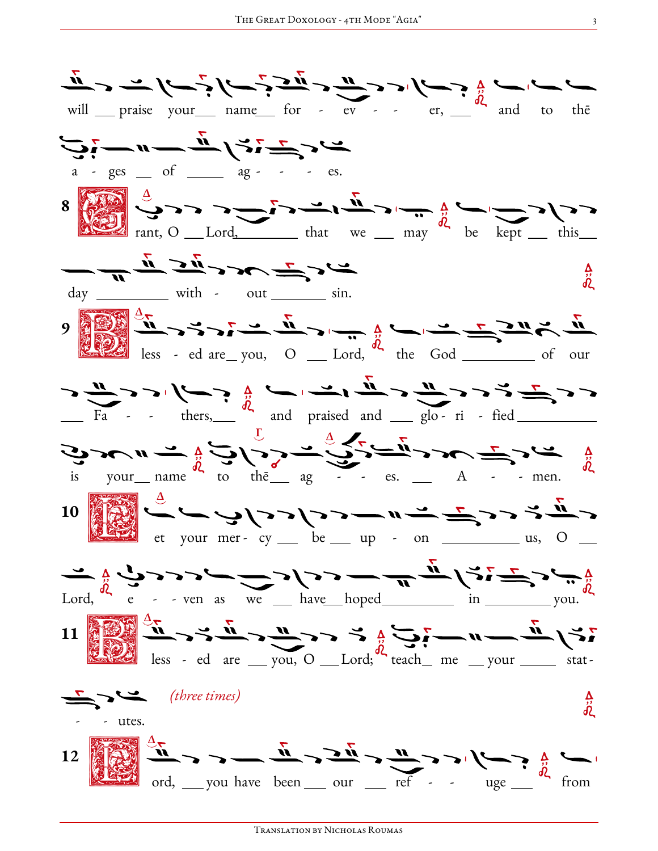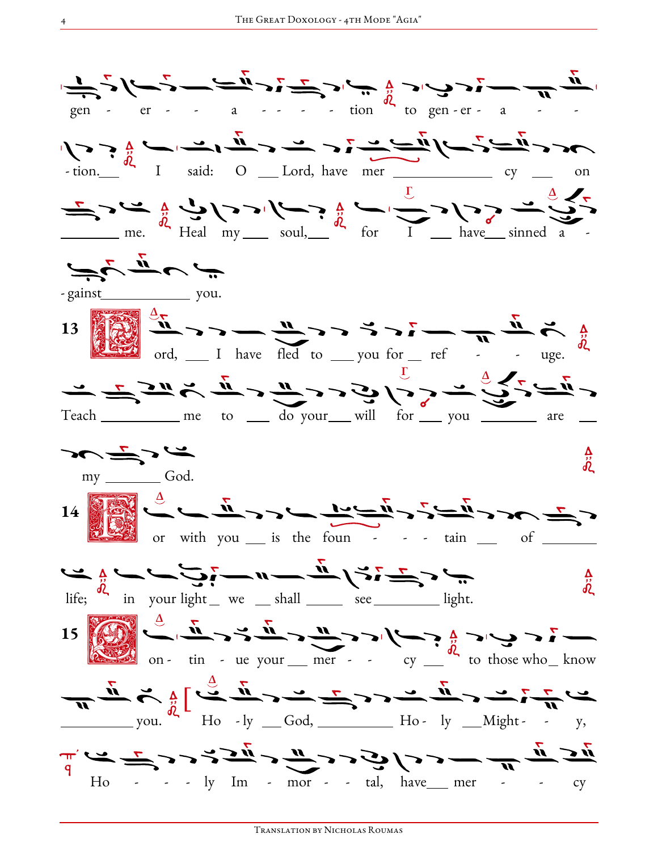